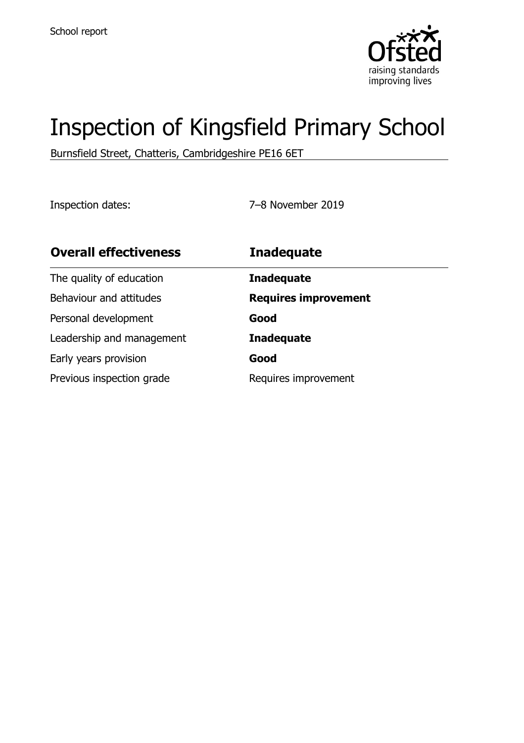

# Inspection of Kingsfield Primary School

Burnsfield Street, Chatteris, Cambridgeshire PE16 6ET

Inspection dates: 7–8 November 2019

| <b>Overall effectiveness</b> | <b>Inadequate</b>           |
|------------------------------|-----------------------------|
| The quality of education     | <b>Inadequate</b>           |
| Behaviour and attitudes      | <b>Requires improvement</b> |
| Personal development         | Good                        |
| Leadership and management    | <b>Inadequate</b>           |
| Early years provision        | Good                        |
| Previous inspection grade    | Requires improvement        |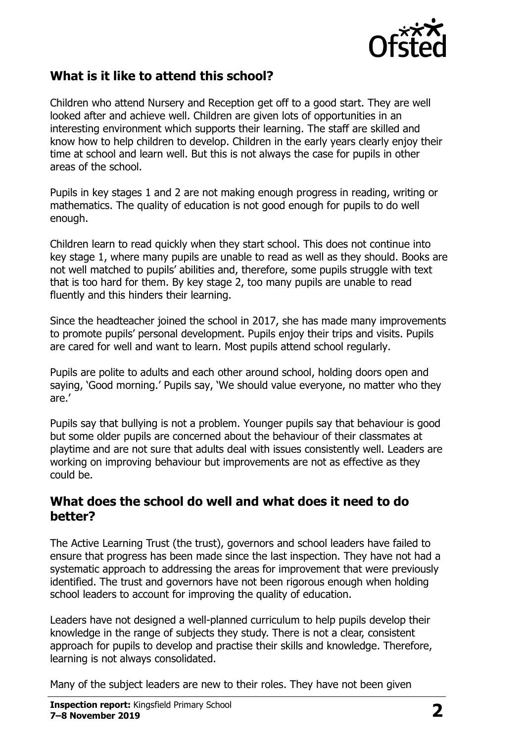

## **What is it like to attend this school?**

Children who attend Nursery and Reception get off to a good start. They are well looked after and achieve well. Children are given lots of opportunities in an interesting environment which supports their learning. The staff are skilled and know how to help children to develop. Children in the early years clearly enjoy their time at school and learn well. But this is not always the case for pupils in other areas of the school.

Pupils in key stages 1 and 2 are not making enough progress in reading, writing or mathematics. The quality of education is not good enough for pupils to do well enough.

Children learn to read quickly when they start school. This does not continue into key stage 1, where many pupils are unable to read as well as they should. Books are not well matched to pupils' abilities and, therefore, some pupils struggle with text that is too hard for them. By key stage 2, too many pupils are unable to read fluently and this hinders their learning.

Since the headteacher joined the school in 2017, she has made many improvements to promote pupils' personal development. Pupils enjoy their trips and visits. Pupils are cared for well and want to learn. Most pupils attend school regularly.

Pupils are polite to adults and each other around school, holding doors open and saying, 'Good morning.' Pupils say, 'We should value everyone, no matter who they are.'

Pupils say that bullying is not a problem. Younger pupils say that behaviour is good but some older pupils are concerned about the behaviour of their classmates at playtime and are not sure that adults deal with issues consistently well. Leaders are working on improving behaviour but improvements are not as effective as they could be.

#### **What does the school do well and what does it need to do better?**

The Active Learning Trust (the trust), governors and school leaders have failed to ensure that progress has been made since the last inspection. They have not had a systematic approach to addressing the areas for improvement that were previously identified. The trust and governors have not been rigorous enough when holding school leaders to account for improving the quality of education.

Leaders have not designed a well-planned curriculum to help pupils develop their knowledge in the range of subjects they study. There is not a clear, consistent approach for pupils to develop and practise their skills and knowledge. Therefore, learning is not always consolidated.

Many of the subject leaders are new to their roles. They have not been given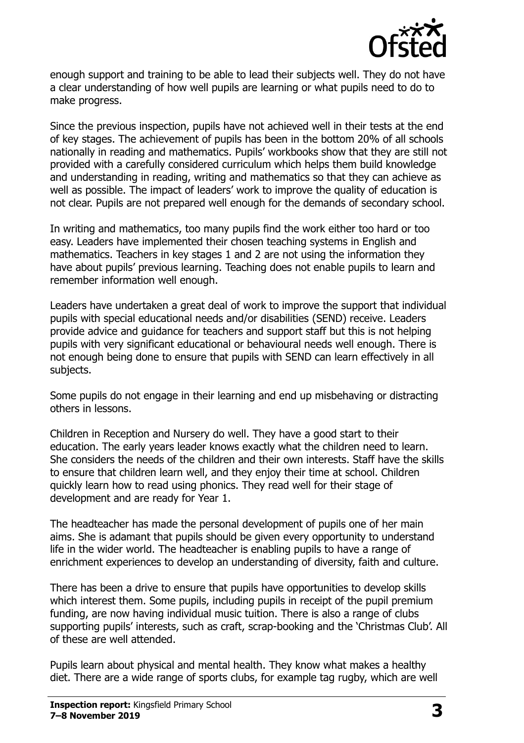

enough support and training to be able to lead their subjects well. They do not have a clear understanding of how well pupils are learning or what pupils need to do to make progress.

Since the previous inspection, pupils have not achieved well in their tests at the end of key stages. The achievement of pupils has been in the bottom 20% of all schools nationally in reading and mathematics. Pupils' workbooks show that they are still not provided with a carefully considered curriculum which helps them build knowledge and understanding in reading, writing and mathematics so that they can achieve as well as possible. The impact of leaders' work to improve the quality of education is not clear. Pupils are not prepared well enough for the demands of secondary school.

In writing and mathematics, too many pupils find the work either too hard or too easy. Leaders have implemented their chosen teaching systems in English and mathematics. Teachers in key stages 1 and 2 are not using the information they have about pupils' previous learning. Teaching does not enable pupils to learn and remember information well enough.

Leaders have undertaken a great deal of work to improve the support that individual pupils with special educational needs and/or disabilities (SEND) receive. Leaders provide advice and guidance for teachers and support staff but this is not helping pupils with very significant educational or behavioural needs well enough. There is not enough being done to ensure that pupils with SEND can learn effectively in all subjects.

Some pupils do not engage in their learning and end up misbehaving or distracting others in lessons.

Children in Reception and Nursery do well. They have a good start to their education. The early years leader knows exactly what the children need to learn. She considers the needs of the children and their own interests. Staff have the skills to ensure that children learn well, and they enjoy their time at school. Children quickly learn how to read using phonics. They read well for their stage of development and are ready for Year 1.

The headteacher has made the personal development of pupils one of her main aims. She is adamant that pupils should be given every opportunity to understand life in the wider world. The headteacher is enabling pupils to have a range of enrichment experiences to develop an understanding of diversity, faith and culture.

There has been a drive to ensure that pupils have opportunities to develop skills which interest them. Some pupils, including pupils in receipt of the pupil premium funding, are now having individual music tuition. There is also a range of clubs supporting pupils' interests, such as craft, scrap-booking and the 'Christmas Club'. All of these are well attended.

Pupils learn about physical and mental health. They know what makes a healthy diet. There are a wide range of sports clubs, for example tag rugby, which are well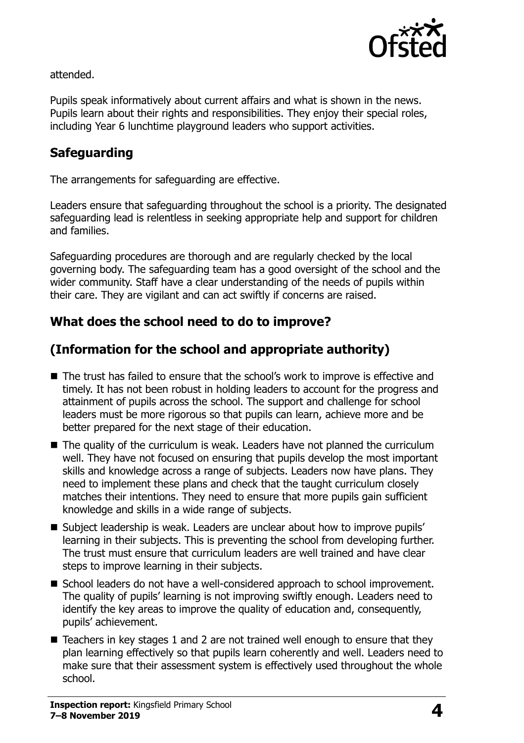

attended.

Pupils speak informatively about current affairs and what is shown in the news. Pupils learn about their rights and responsibilities. They enjoy their special roles, including Year 6 lunchtime playground leaders who support activities.

## **Safeguarding**

The arrangements for safeguarding are effective.

Leaders ensure that safeguarding throughout the school is a priority. The designated safeguarding lead is relentless in seeking appropriate help and support for children and families.

Safeguarding procedures are thorough and are regularly checked by the local governing body. The safeguarding team has a good oversight of the school and the wider community. Staff have a clear understanding of the needs of pupils within their care. They are vigilant and can act swiftly if concerns are raised.

## **What does the school need to do to improve?**

## **(Information for the school and appropriate authority)**

- The trust has failed to ensure that the school's work to improve is effective and timely. It has not been robust in holding leaders to account for the progress and attainment of pupils across the school. The support and challenge for school leaders must be more rigorous so that pupils can learn, achieve more and be better prepared for the next stage of their education.
- $\blacksquare$  The quality of the curriculum is weak. Leaders have not planned the curriculum well. They have not focused on ensuring that pupils develop the most important skills and knowledge across a range of subjects. Leaders now have plans. They need to implement these plans and check that the taught curriculum closely matches their intentions. They need to ensure that more pupils gain sufficient knowledge and skills in a wide range of subjects.
- Subject leadership is weak. Leaders are unclear about how to improve pupils' learning in their subjects. This is preventing the school from developing further. The trust must ensure that curriculum leaders are well trained and have clear steps to improve learning in their subjects.
- School leaders do not have a well-considered approach to school improvement. The quality of pupils' learning is not improving swiftly enough. Leaders need to identify the key areas to improve the quality of education and, consequently, pupils' achievement.
- $\blacksquare$  Teachers in key stages 1 and 2 are not trained well enough to ensure that they plan learning effectively so that pupils learn coherently and well. Leaders need to make sure that their assessment system is effectively used throughout the whole school.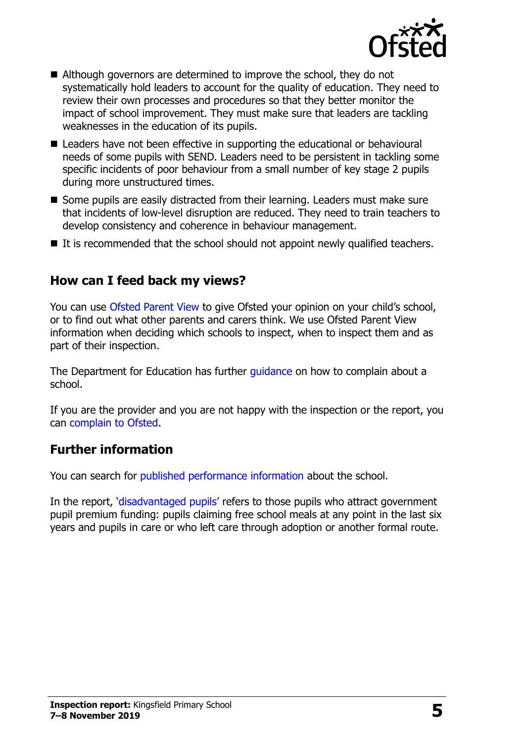

- Although governors are determined to improve the school, they do not systematically hold leaders to account for the quality of education. They need to review their own processes and procedures so that they better monitor the impact of school improvement. They must make sure that leaders are tackling weaknesses in the education of its pupils.
- Leaders have not been effective in supporting the educational or behavioural needs of some pupils with SEND. Leaders need to be persistent in tackling some specific incidents of poor behaviour from a small number of key stage 2 pupils during more unstructured times.
- Some pupils are easily distracted from their learning. Leaders must make sure that incidents of low-level disruption are reduced. They need to train teachers to develop consistency and coherence in behaviour management.
- $\blacksquare$  It is recommended that the school should not appoint newly qualified teachers.

### **How can I feed back my views?**

You can use [Ofsted Parent View](http://parentview.ofsted.gov.uk/) to give Ofsted your opinion on your child's school, or to find out what other parents and carers think. We use Ofsted Parent View information when deciding which schools to inspect, when to inspect them and as part of their inspection.

The Department for Education has further quidance on how to complain about a school.

If you are the provider and you are not happy with the inspection or the report, you can [complain to Ofsted.](http://www.gov.uk/complain-ofsted-report)

#### **Further information**

You can search for [published performance information](http://www.compare-school-performance.service.gov.uk/) about the school.

In the report, '[disadvantaged pupils](http://www.gov.uk/guidance/pupil-premium-information-for-schools-and-alternative-provision-settings)' refers to those pupils who attract government pupil premium funding: pupils claiming free school meals at any point in the last six years and pupils in care or who left care through adoption or another formal route.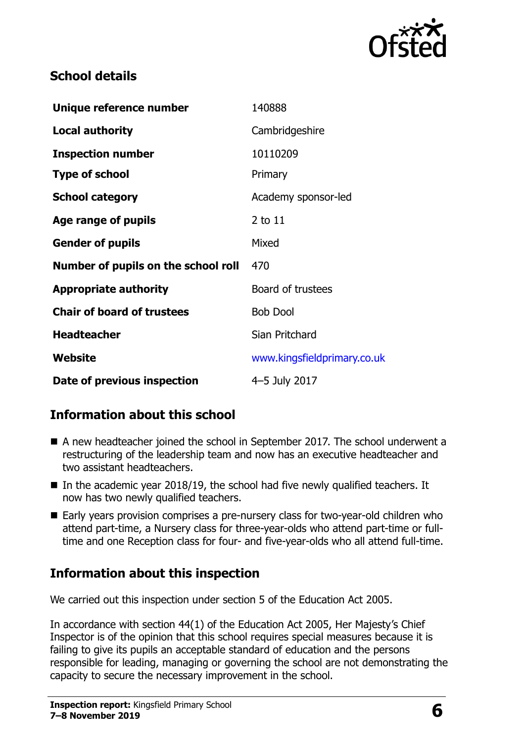

## **School details**

| Unique reference number             | 140888                      |  |
|-------------------------------------|-----------------------------|--|
| <b>Local authority</b>              | Cambridgeshire              |  |
| <b>Inspection number</b>            | 10110209                    |  |
| <b>Type of school</b>               | Primary                     |  |
| <b>School category</b>              | Academy sponsor-led         |  |
| Age range of pupils                 | 2 to 11                     |  |
| <b>Gender of pupils</b>             | Mixed                       |  |
| Number of pupils on the school roll | 470                         |  |
| <b>Appropriate authority</b>        | Board of trustees           |  |
| <b>Chair of board of trustees</b>   | <b>Bob Dool</b>             |  |
| <b>Headteacher</b>                  | Sian Pritchard              |  |
| Website                             | www.kingsfieldprimary.co.uk |  |
| Date of previous inspection         | 4-5 July 2017               |  |

## **Information about this school**

- A new headteacher joined the school in September 2017. The school underwent a restructuring of the leadership team and now has an executive headteacher and two assistant headteachers.
- In the academic year 2018/19, the school had five newly qualified teachers. It now has two newly qualified teachers.
- Early years provision comprises a pre-nursery class for two-year-old children who attend part-time, a Nursery class for three-year-olds who attend part-time or fulltime and one Reception class for four- and five-year-olds who all attend full-time.

## **Information about this inspection**

We carried out this inspection under section 5 of the Education Act 2005.

In accordance with section 44(1) of the Education Act 2005, Her Majesty's Chief Inspector is of the opinion that this school requires special measures because it is failing to give its pupils an acceptable standard of education and the persons responsible for leading, managing or governing the school are not demonstrating the capacity to secure the necessary improvement in the school.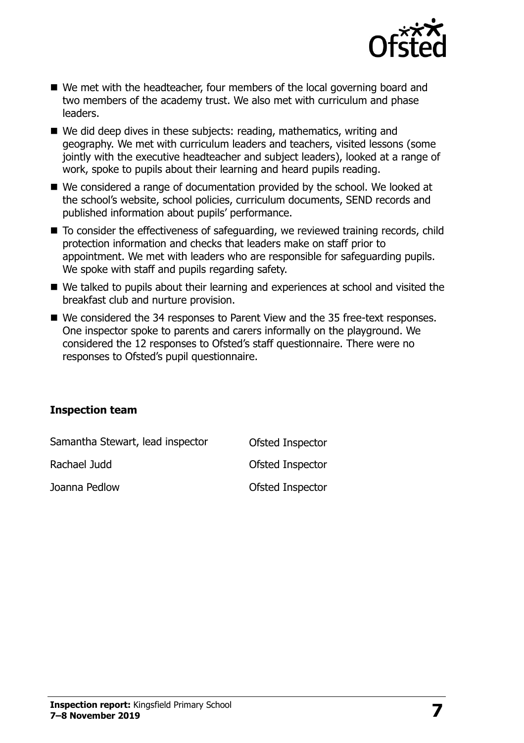

- We met with the headteacher, four members of the local governing board and two members of the academy trust. We also met with curriculum and phase leaders.
- We did deep dives in these subjects: reading, mathematics, writing and geography. We met with curriculum leaders and teachers, visited lessons (some jointly with the executive headteacher and subject leaders), looked at a range of work, spoke to pupils about their learning and heard pupils reading.
- We considered a range of documentation provided by the school. We looked at the school's website, school policies, curriculum documents, SEND records and published information about pupils' performance.
- To consider the effectiveness of safeguarding, we reviewed training records, child protection information and checks that leaders make on staff prior to appointment. We met with leaders who are responsible for safeguarding pupils. We spoke with staff and pupils regarding safety.
- We talked to pupils about their learning and experiences at school and visited the breakfast club and nurture provision.
- We considered the 34 responses to Parent View and the 35 free-text responses. One inspector spoke to parents and carers informally on the playground. We considered the 12 responses to Ofsted's staff questionnaire. There were no responses to Ofsted's pupil questionnaire.

#### **Inspection team**

| Samantha Stewart, lead inspector | Ofsted Inspector |
|----------------------------------|------------------|
| Rachael Judd                     | Ofsted Inspector |
| Joanna Pedlow                    | Ofsted Inspector |